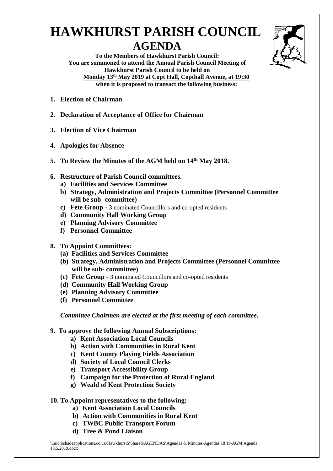## **HAWKHURST PARISH COUNCIL AGENDA**



**To the Members of Hawkhurst Parish Council: You are summoned to attend the Annual Parish Council Meeting of Hawkhurst Parish Council to be held on Monday 13th May 2019 at Copt Hall, Copthall Avenue, at 19:30 when it is proposed to transact the following business:**

- **1. Election of Chairman**
- **2. Declaration of Acceptance of Office for Chairman**
- **3. Election of Vice Chairman**
- **4. Apologies for Absence**
- **5. To Review the Minutes of the AGM held on 14th May 2018.**
- **6. Restructure of Parish Council committees.**
	- **a) Facilities and Services Committee**
	- **b) Strategy, Administration and Projects Committee (Personnel Committee will be sub- committee)**
	- **c) Fete Group -** 3 nominated Councillors and co-opted residents
	- **d) Community Hall Working Group**
	- **e) Planning Advisory Committee**
	- **f) Personnel Committee**

## **8. To Appoint Committees:**

- **(a) Facilities and Services Committee**
- **(b) Strategy, Administration and Projects Committee (Personnel Committee will be sub- committee)**
- **(c) Fete Group -** 3 nominated Councillors and co-opted residents
- **(d) Community Hall Working Group**
- **(e) Planning Advisory Committee**
- **(f) Personnel Committee**

*Committee Chairmen are elected at the first meeting of each committee***.**

- **9. To approve the following Annual Subscriptions:**
	- **a) Kent Association Local Councils**
	- **b) Action with Communities in Rural Kent**
	- **c) Kent County Playing Fields Association**
	- **d) Society of Local Council Clerks**
	- **e) Transport Accessibility Group**
	- **f) Campaign for the Protection of Rural England**
	- **g) Weald of Kent Protection Society**

## **10. To Appoint representatives to the following:**

- **a) Kent Association Local Councils**
- **b) Action with Communities in Rural Kent**
- **c) TWBC Public Transport Forum**
- **d) Tree & Pond Liaison**

\\microshadeapplications.co.uk\Hawkhurst\$\Shared\AGENDAS\Agendas & Minutes\Agendas 18 19\AGM Agenda 13.5.2019.docx